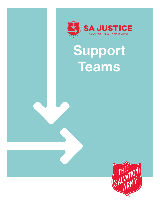

SA JUSTICE

# **Support Teams**

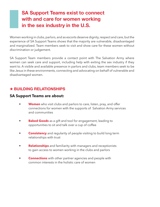# **SA Support Teams exist to connect with and care for women working in the sex industry in the U.S.**

Women working in clubs, parlors, and as escorts deserve dignity, respect and care, but the experience of SA Support Teams shows that the majority are vulnerable, disadvantaged and marginalized. Team members seek to visit and show care for these women without discrimination or judgement.

SA Support Team members provide a contact point with The Salvation Army where women can seek care and support, including help with exiting the sex industry if they want to. A visible and available presence in parlors and clubs, team members seek to be like Jesus in these environments, connecting and advocating on behalf of vulnerable and disadvantaged women.

# y **BUILDING RELATIONSHIPS**

### **SA Support Teams are about:**

- **Women** who visit clubs and parlors to care, listen, pray, and offer connections for women with the supports of Salvation Army services and communities
- **Baked Goods** as a gift and tool for engagement, leading to opportunities to sit and talk over a cup of coffee
- **Consistency** and regularity of people visiting to build long term relationships with trust
- **Relationships** and familiarity with managers and receptionists to gain access to women working in the clubs and parlors
- **Connections** with other partner agencies and people with common interests in the holistic care of women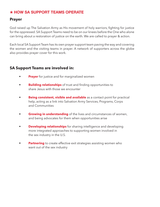# **\* HOW SA SUPPORT TEAMS OPERATE**

## **Prayer**

God raised up The Salvation Army as His movement of holy warriors, fighting for justice for the oppressed. SA Support Teams need to be on our knees before the One who alone can bring about a restoration of justice on the earth. We are called to prayer & action.

Each local SA Support Team has its own prayer support team paving the way and covering the women and the visiting teams in prayer. A network of supporters across the globe also provides prayer cover for this work.

# **SA Support Teams are involved in:**

- **Prayer** for justice and for marginalized women
- **Building relationships** of trust and finding opportunities to share Jesus with those we encounter
- **Being consistent, visible and available** as a contact point for practical help, acting as a link into Salvation Army Services, Programs, Corps and Communities
- **Growing in understanding** of the lives and circumstances of women, and being advocates for them when opportunities arise
- **Developing relationships** for sharing intelligence and developing more integrated approaches to supporting women involved in the sex industry in the U.S.
- **Partnering** to create effective exit strategies assisting women who want out of the sex industry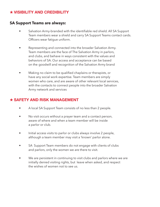# y **VISIBILITY AND CREDIBILITY**

## **SA Support Teams are always:**

- Salvation Army-branded with the identifiable red shield. All SA Support Team members wear a shield and carry SA Support Teams contact cards. Officers wear fatigue uniform.
- Representing and connected into the broader Salvation Army. Team members are the face of The Salvation Army in parlors, and clubs, and behave in ways consistent with the values and behaviors of SA. Our access and acceptance can be based on the goodwill and recognition of the Salvation Army brand
- Making no claim to be qualified chaplains or therapists, or have any social work expertise. Team members are simply women who care, and are aware of other relevant local services, with the contacts to connect people into the broader Salvation Army network and services

# y **SAFETY AND RISK MANAGEMENT**

- A local SA Support Team consists of no less than 2 people.
- No visit occurs without a prayer team and a contact person, aware of where and when a team member will be inside a parlor or club.
- Initial access visits to parlor or clubs always involve 2 people, although a team member may visit a 'known' parlor alone.
- SA Support Team members do not engage with clients of clubs and parlors, only the women we are there to visit.
- We are persistent in continuing to visit clubs and parlors where we are initially denied visiting rights, but leave when asked, and respect the wishes of women not to see us.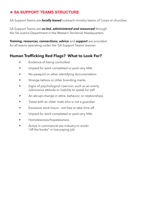# $\star$  **SA SUPPORT TEAMS STRUCTURE**

SA Support Teams are *locally based* outreach ministry teams of Corps or churches.

SA Support Teams are *co-led, administered and resourced* through the SA Justice Department in the Western Territorial Headquarters.

*Training, resources, connections, advice* and *support* are provided for all teams operating under the 'SA Support Teams' banner.

# **Human Trafficking Red Flags? What to Look For?**

- Evidence of being controlled
- Unpaid for work completed or paid very little
- No passport or other identifying documentation
- Strange tattoos or other branding marks
- Signs of psychological coercion, such as an overly submissive attitude or inability to speak for self
- An abrupt change in attire, behavior, or relationships
- Travel with an older male who is not a guardian
- Excessive work hours not free to take time off
- Unpaid for work completed or paid very little
- Homelessness/hopelessness
- Active in commercial sex industry or works "off the books" in low-paying job